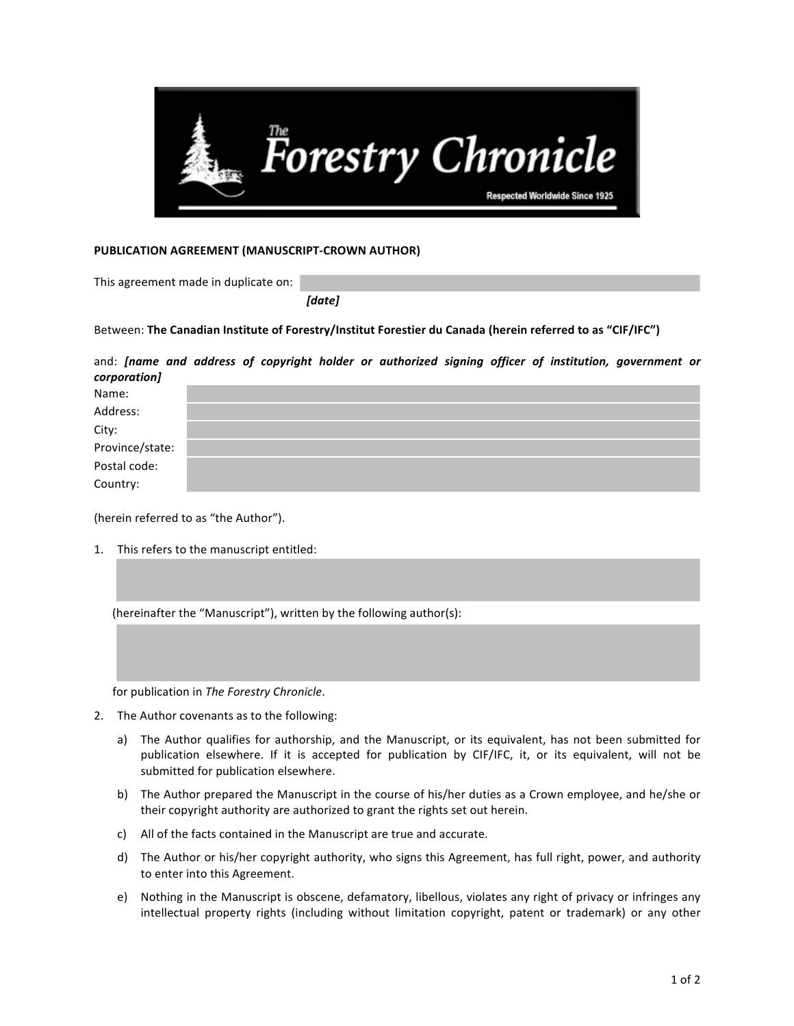

## **PUBLICATION AGREEMENT (MANUSCRIPT-CROWN AUTHOR)**

This agreement made in duplicate on:

 *[date]*

Between: The Canadian Institute of Forestry/Institut Forestier du Canada (herein referred to as "CIF/IFC")

| and: [name and address of copyright holder or authorized signing officer of institution, government or<br>corporation] |  |  |  |  |  |  |
|------------------------------------------------------------------------------------------------------------------------|--|--|--|--|--|--|
| Name:                                                                                                                  |  |  |  |  |  |  |
| Address:                                                                                                               |  |  |  |  |  |  |
| City:                                                                                                                  |  |  |  |  |  |  |
| Province/state:                                                                                                        |  |  |  |  |  |  |
| Postal code:                                                                                                           |  |  |  |  |  |  |
| Country:                                                                                                               |  |  |  |  |  |  |

(herein referred to as "the Author").

1. This refers to the manuscript entitled:

(hereinafter the "Manuscript"), written by the following author(s):

for publication in *The Forestry Chronicle*.

- 2. The Author covenants as to the following:
	- a) The Author qualifies for authorship, and the Manuscript, or its equivalent, has not been submitted for publication elsewhere. If it is accepted for publication by CIF/IFC, it, or its equivalent, will not be submitted for publication elsewhere.
	- b) The Author prepared the Manuscript in the course of his/her duties as a Crown employee, and he/she or their copyright authority are authorized to grant the rights set out herein.
	- c) All of the facts contained in the Manuscript are true and accurate.
	- d) The Author or his/her copyright authority, who signs this Agreement, has full right, power, and authority to enter into this Agreement.
	- e) Nothing in the Manuscript is obscene, defamatory, libellous, violates any right of privacy or infringes any intellectual property rights (including without limitation copyright, patent or trademark) or any other